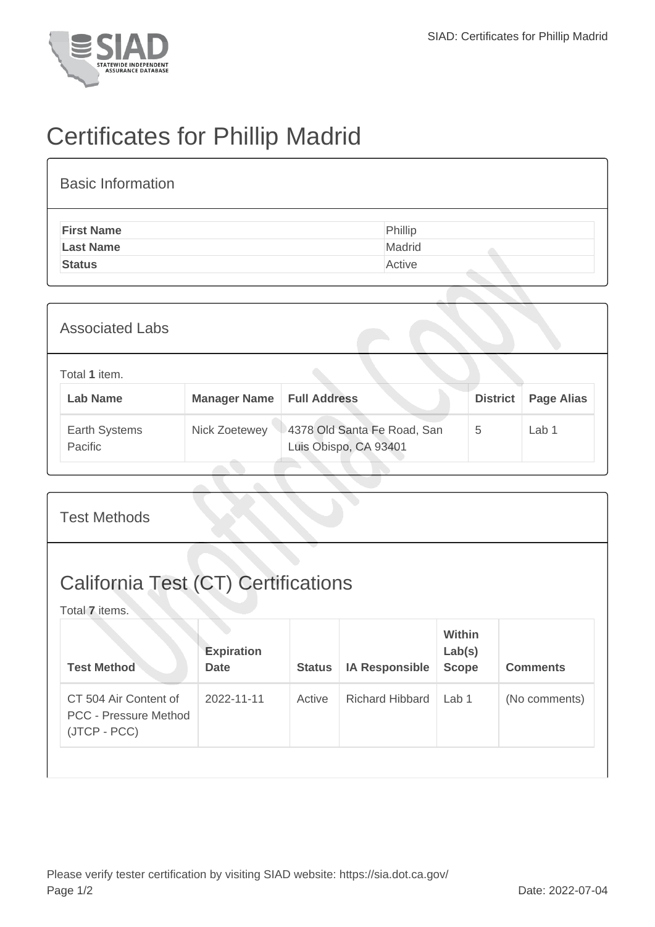

## Certificates for Phillip Madrid

| <b>Basic Information</b> |         |
|--------------------------|---------|
| <b>First Name</b>        | Phillip |
| <b>Last Name</b>         | Madrid  |
| <b>Status</b>            | Active  |

| <b>Associated Labs</b>           |                                    |                                                      |                 |                   |  |  |
|----------------------------------|------------------------------------|------------------------------------------------------|-----------------|-------------------|--|--|
| Total 1 item.<br><b>Lab Name</b> | <b>Manager Name   Full Address</b> |                                                      | <b>District</b> | <b>Page Alias</b> |  |  |
| Earth Systems<br>Pacific         | Nick Zoetewey                      | 4378 Old Santa Fe Road, San<br>Luis Obispo, CA 93401 | 5               | Lab 1             |  |  |

| <b>Test Methods</b>                                                   |                                  |               |                        |                                  |                 |  |
|-----------------------------------------------------------------------|----------------------------------|---------------|------------------------|----------------------------------|-----------------|--|
| <b>California Test (CT) Certifications</b><br>Total 7 items.          |                                  |               |                        |                                  |                 |  |
| <b>Test Method</b>                                                    | <b>Expiration</b><br><b>Date</b> | <b>Status</b> | <b>IA Responsible</b>  | Within<br>Lab(s)<br><b>Scope</b> | <b>Comments</b> |  |
| CT 504 Air Content of<br><b>PCC - Pressure Method</b><br>(JTCP - PCC) | 2022-11-11                       | Active        | <b>Richard Hibbard</b> | Lab <sub>1</sub>                 | (No comments)   |  |
|                                                                       |                                  |               |                        |                                  |                 |  |